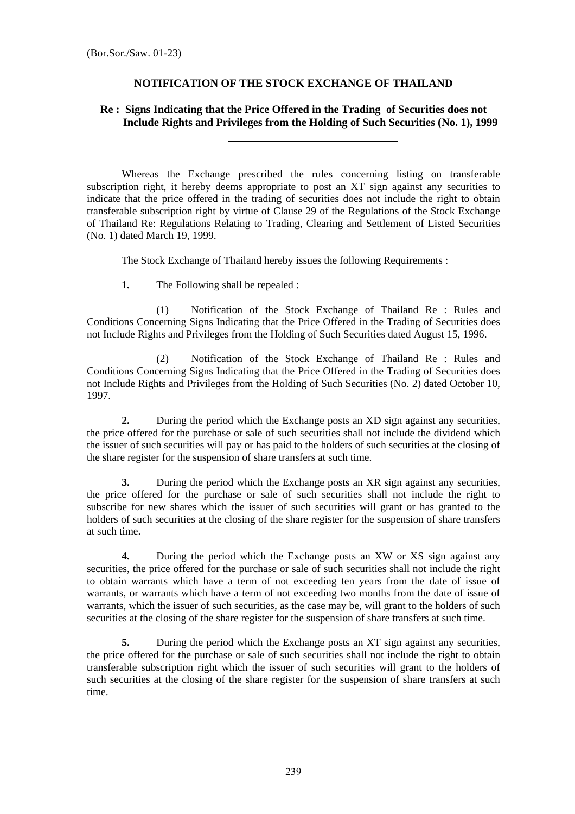## **NOTIFICATION OF THE STOCK EXCHANGE OF THAILAND**

## **Re : Signs Indicating that the Price Offered in the Trading of Securities does not Include Rights and Privileges from the Holding of Such Securities (No. 1), 1999**

Whereas the Exchange prescribed the rules concerning listing on transferable subscription right, it hereby deems appropriate to post an XT sign against any securities to indicate that the price offered in the trading of securities does not include the right to obtain transferable subscription right by virtue of Clause 29 of the Regulations of the Stock Exchange of Thailand Re: Regulations Relating to Trading, Clearing and Settlement of Listed Securities (No. 1) dated March 19, 1999.

The Stock Exchange of Thailand hereby issues the following Requirements :

**1.** The Following shall be repealed :

(1) Notification of the Stock Exchange of Thailand Re : Rules and Conditions Concerning Signs Indicating that the Price Offered in the Trading of Securities does not Include Rights and Privileges from the Holding of Such Securities dated August 15, 1996.

 (2) Notification of the Stock Exchange of Thailand Re : Rules and Conditions Concerning Signs Indicating that the Price Offered in the Trading of Securities does not Include Rights and Privileges from the Holding of Such Securities (No. 2) dated October 10, 1997.

**2.** During the period which the Exchange posts an XD sign against any securities, the price offered for the purchase or sale of such securities shall not include the dividend which the issuer of such securities will pay or has paid to the holders of such securities at the closing of the share register for the suspension of share transfers at such time.

**3.** During the period which the Exchange posts an XR sign against any securities, the price offered for the purchase or sale of such securities shall not include the right to subscribe for new shares which the issuer of such securities will grant or has granted to the holders of such securities at the closing of the share register for the suspension of share transfers at such time.

**4.** During the period which the Exchange posts an XW or XS sign against any securities, the price offered for the purchase or sale of such securities shall not include the right to obtain warrants which have a term of not exceeding ten years from the date of issue of warrants, or warrants which have a term of not exceeding two months from the date of issue of warrants, which the issuer of such securities, as the case may be, will grant to the holders of such securities at the closing of the share register for the suspension of share transfers at such time.

**5.** During the period which the Exchange posts an XT sign against any securities, the price offered for the purchase or sale of such securities shall not include the right to obtain transferable subscription right which the issuer of such securities will grant to the holders of such securities at the closing of the share register for the suspension of share transfers at such time.